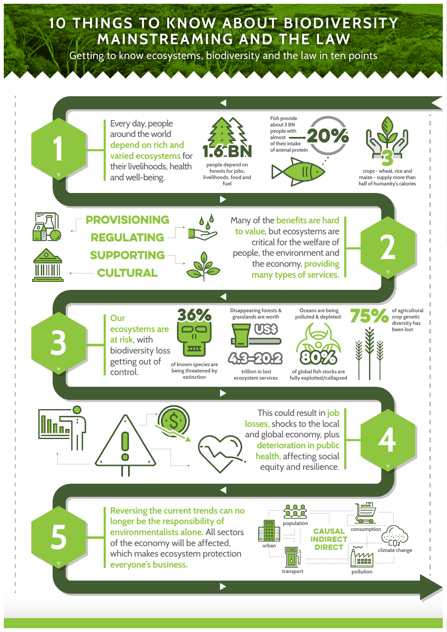## **10 THINGS TO KNOW ABOUT BIODIVERSITY MAINSTREAMING AND THE LAW**

Getting to know ecosystems, biodiversity and the law in ten points